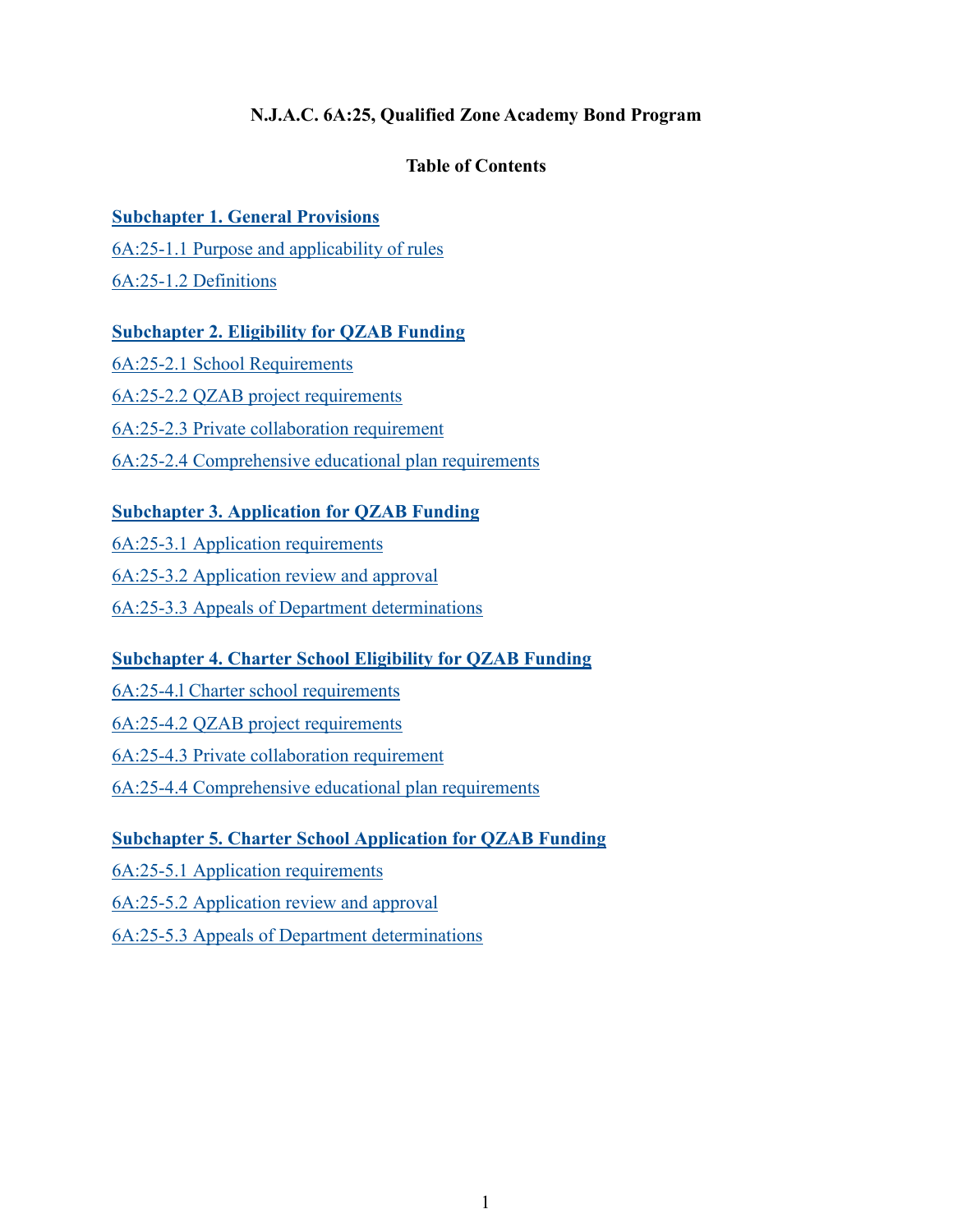# **N.J.A.C. 6A:25, Qualified Zone Academy Bond Program**

# **Table of Contents**

# **[Subchapter 1. General Provisions](#page-1-0)**

[6A:25-1.1 Purpose and applicability of rules](#page-1-1)

[6A:25-1.2 Definitions](#page-1-2)

# **[Subchapter 2. Eligibility for QZAB Funding](#page-3-0)**

[6A:25-2.1 School Requirements](#page-3-1) [6A:25-2.2 QZAB project requirements](#page-4-0) [6A:25-2.3 Private collaboration requirement](#page-4-1) [6A:25-2.4 Comprehensive educational plan requirements](#page-5-0)

# **[Subchapter 3. Application for QZAB Funding](#page-5-1)**

[6A:25-3.1 Application requirements](#page-5-2) [6A:25-3.2 Application review and approval](#page-7-0) 6A:25-3.3 [Appeals of Department determinations](#page-7-1)

# **[Subchapter 4. Charter School Eligibility for QZAB Funding](#page-8-0)**

6A:25-4.l [Charter school requirements](#page-8-1)

[6A:25-4.2 QZAB project requirements](#page-8-2)

[6A:25-4.3 Private collaboration requirement](#page-8-3)

[6A:25-4.4 Comprehensive educational plan requirements](#page-9-0)

# **[Subchapter 5. Charter School Application for QZAB Funding](#page-9-1)**

6A:25-5.1 [Application requirements](#page-9-2)

6A:25-5.2 [Application review and approval](#page-10-0)

6A:25-5.3 [Appeals of Department determinations](#page-11-0)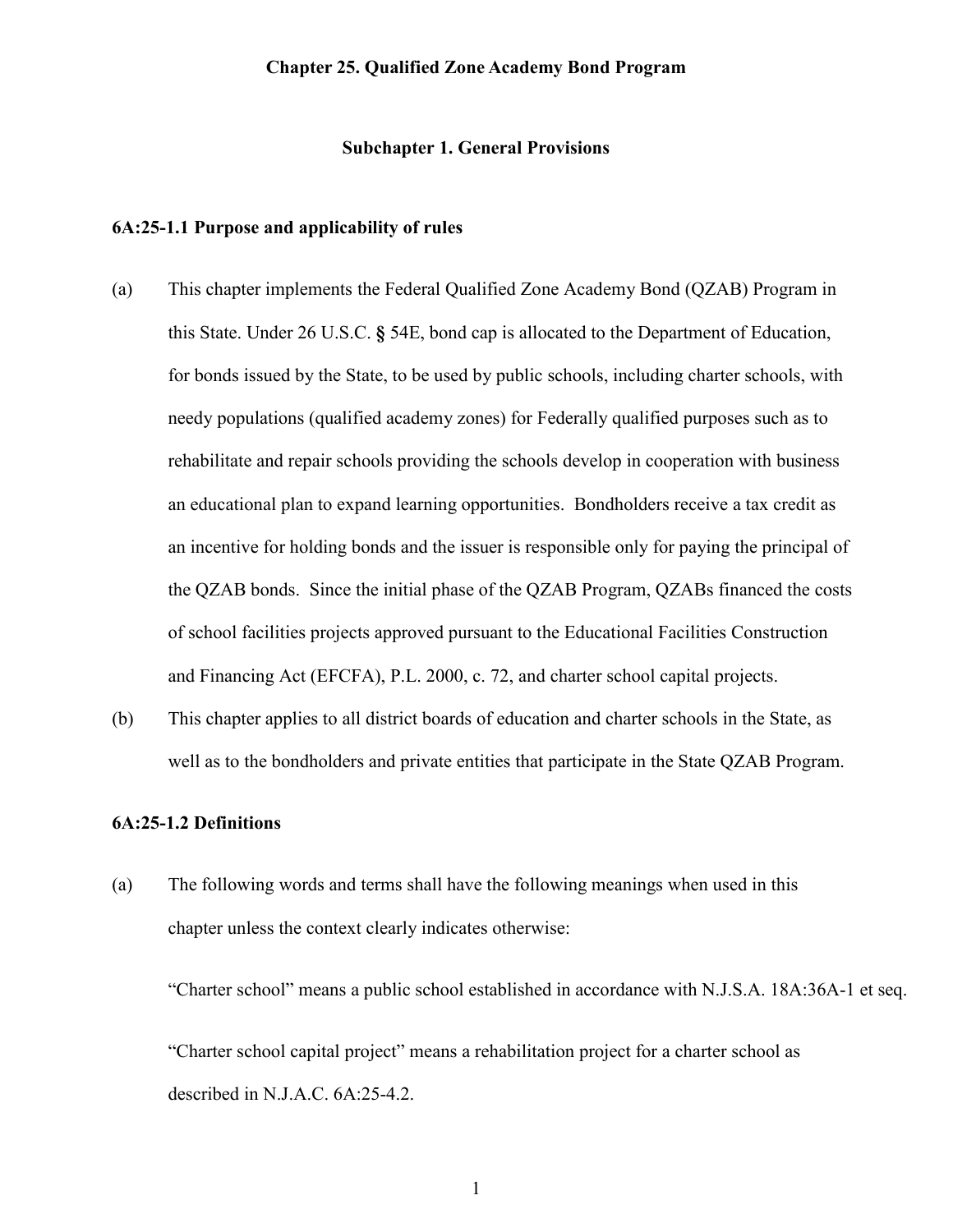#### **Chapter 25. Qualified Zone Academy Bond Program**

#### **Subchapter 1. General Provisions**

#### <span id="page-1-1"></span><span id="page-1-0"></span>**6A:25-1.1 Purpose and applicability of rules**

- (a) This chapter implements the Federal Qualified Zone Academy Bond (QZAB) Program in this State. Under 26 U.S.C. **§** 54E, bond cap is allocated to the Department of Education, for bonds issued by the State, to be used by public schools, including charter schools, with needy populations (qualified academy zones) for Federally qualified purposes such as to rehabilitate and repair schools providing the schools develop in cooperation with business an educational plan to expand learning opportunities. Bondholders receive a tax credit as an incentive for holding bonds and the issuer is responsible only for paying the principal of the QZAB bonds. Since the initial phase of the QZAB Program, QZABs financed the costs of school facilities projects approved pursuant to the Educational Facilities Construction and Financing Act (EFCFA), P.L. 2000, c. 72, and charter school capital projects.
- (b) This chapter applies to all district boards of education and charter schools in the State, as well as to the bondholders and private entities that participate in the State QZAB Program.

# <span id="page-1-2"></span>**6A:25-1.2 Definitions**

(a) The following words and terms shall have the following meanings when used in this chapter unless the context clearly indicates otherwise:

"Charter school" means a public school established in accordance with N.J.S.A. 18A:36A-1 et seq.

"Charter school capital project" means a rehabilitation project for a charter school as described in N.J.A.C. 6A:25-4.2.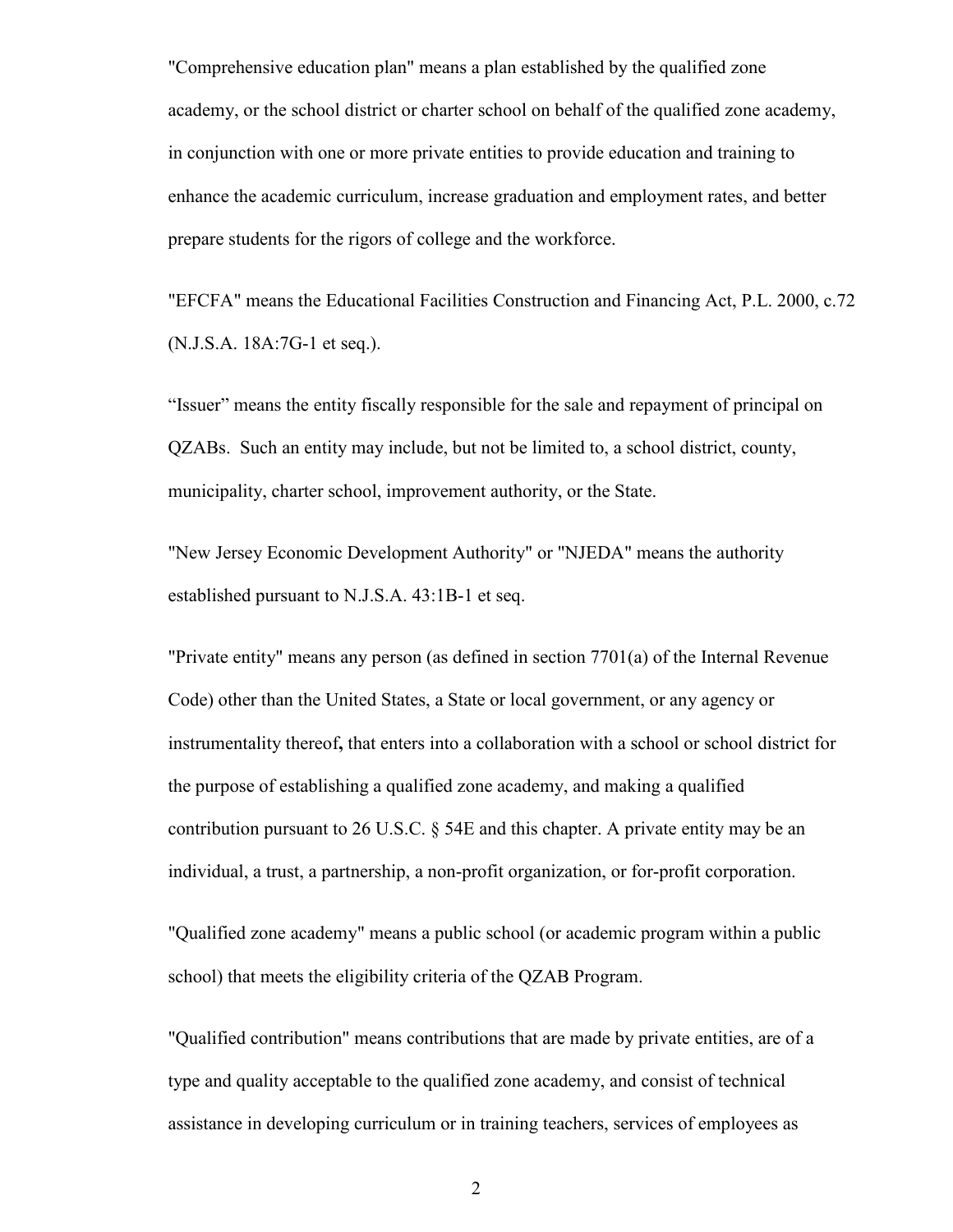"Comprehensive education plan" means a plan established by the qualified zone academy, or the school district or charter school on behalf of the qualified zone academy, in conjunction with one or more private entities to provide education and training to enhance the academic curriculum, increase graduation and employment rates, and better prepare students for the rigors of college and the workforce.

"EFCFA" means the Educational Facilities Construction and Financing Act, P.L. 2000, c.72 (N.J.S.A. 18A:7G-1 et seq.).

"Issuer" means the entity fiscally responsible for the sale and repayment of principal on QZABs. Such an entity may include, but not be limited to, a school district, county, municipality, charter school, improvement authority, or the State.

"New Jersey Economic Development Authority" or "NJEDA" means the authority established pursuant to N.J.S.A. 43:1B-1 et seq.

"Private entity" means any person (as defined in section 7701(a) of the Internal Revenue Code) other than the United States, a State or local government, or any agency or instrumentality thereof**,** that enters into a collaboration with a school or school district for the purpose of establishing a qualified zone academy, and making a qualified contribution pursuant to 26 U.S.C. § 54E and this chapter. A private entity may be an individual, a trust, a partnership, a non-profit organization, or for-profit corporation.

"Qualified zone academy" means a public school (or academic program within a public school) that meets the eligibility criteria of the QZAB Program.

"Qualified contribution" means contributions that are made by private entities, are of a type and quality acceptable to the qualified zone academy, and consist of technical assistance in developing curriculum or in training teachers, services of employees as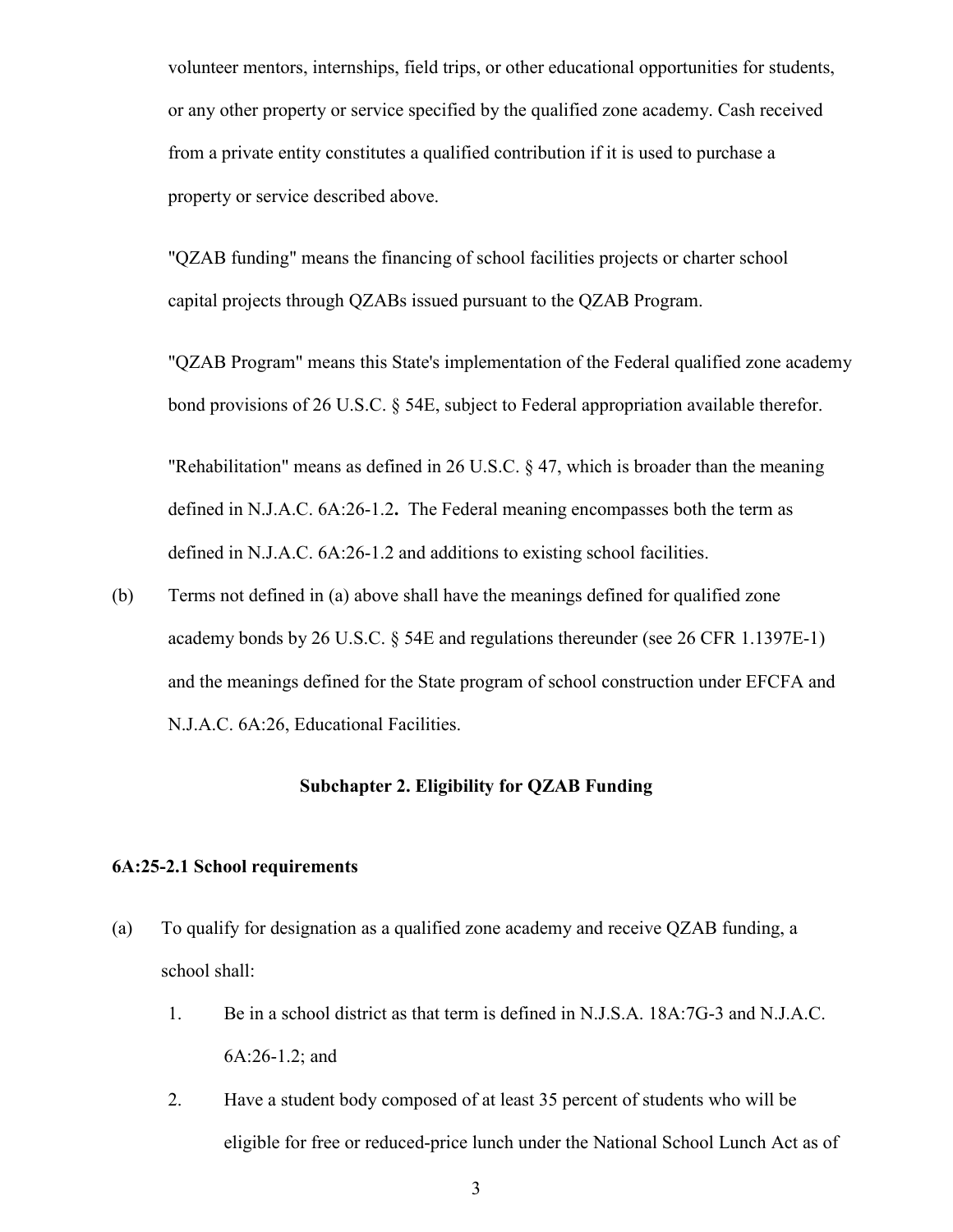volunteer mentors, internships, field trips, or other educational opportunities for students, or any other property or service specified by the qualified zone academy. Cash received from a private entity constitutes a qualified contribution if it is used to purchase a property or service described above.

"QZAB funding" means the financing of school facilities projects or charter school capital projects through QZABs issued pursuant to the QZAB Program.

"QZAB Program" means this State's implementation of the Federal qualified zone academy bond provisions of 26 U.S.C. § 54E, subject to Federal appropriation available therefor.

"Rehabilitation" means as defined in 26 U.S.C. § 47, which is broader than the meaning defined in N.J.A.C. 6A:26-1.2**.** The Federal meaning encompasses both the term as defined in N.J.A.C. 6A:26-1.2 and additions to existing school facilities.

(b) Terms not defined in (a) above shall have the meanings defined for qualified zone academy bonds by 26 U.S.C. § 54E and regulations thereunder (see 26 CFR 1.1397E-1) and the meanings defined for the State program of school construction under EFCFA and N.J.A.C. 6A:26, Educational Facilities.

### **Subchapter 2. Eligibility for QZAB Funding**

#### <span id="page-3-1"></span><span id="page-3-0"></span>**6A:25-2.1 School requirements**

- (a) To qualify for designation as a qualified zone academy and receive QZAB funding, a school shall:
	- 1. Be in a school district as that term is defined in N.J.S.A. 18A:7G-3 and N.J.A.C. 6A:26-1.2; and
	- 2. Have a student body composed of at least 35 percent of students who will be eligible for free or reduced-price lunch under the National School Lunch Act as of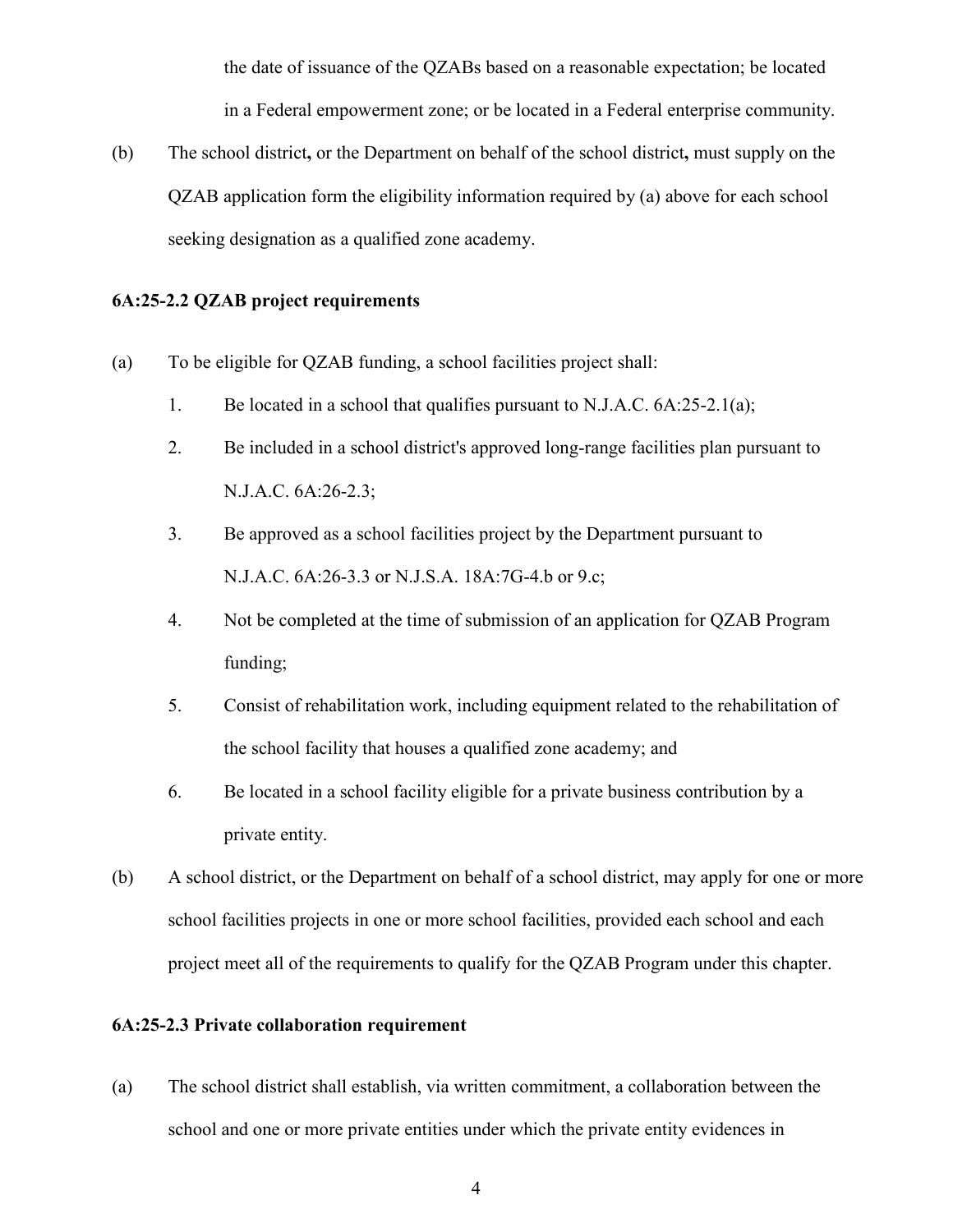the date of issuance of the QZABs based on a reasonable expectation; be located in a Federal empowerment zone; or be located in a Federal enterprise community.

(b) The school district**,** or the Department on behalf of the school district**,** must supply on the QZAB application form the eligibility information required by (a) above for each school seeking designation as a qualified zone academy.

## <span id="page-4-0"></span>**6A:25-2.2 QZAB project requirements**

- (a) To be eligible for QZAB funding, a school facilities project shall:
	- 1. Be located in a school that qualifies pursuant to N.J.A.C. 6A:25-2.1(a);
	- 2. Be included in a school district's approved long-range facilities plan pursuant to N.J.A.C. 6A:26-2.3;
	- 3. Be approved as a school facilities project by the Department pursuant to N.J.A.C. 6A:26-3.3 or N.J.S.A. 18A:7G-4.b or 9.c;
	- 4. Not be completed at the time of submission of an application for QZAB Program funding;
	- 5. Consist of rehabilitation work, including equipment related to the rehabilitation of the school facility that houses a qualified zone academy; and
	- 6. Be located in a school facility eligible for a private business contribution by a private entity.
- (b) A school district, or the Department on behalf of a school district, may apply for one or more school facilities projects in one or more school facilities, provided each school and each project meet all of the requirements to qualify for the QZAB Program under this chapter.

### <span id="page-4-1"></span>**6A:25-2.3 Private collaboration requirement**

(a) The school district shall establish, via written commitment, a collaboration between the school and one or more private entities under which the private entity evidences in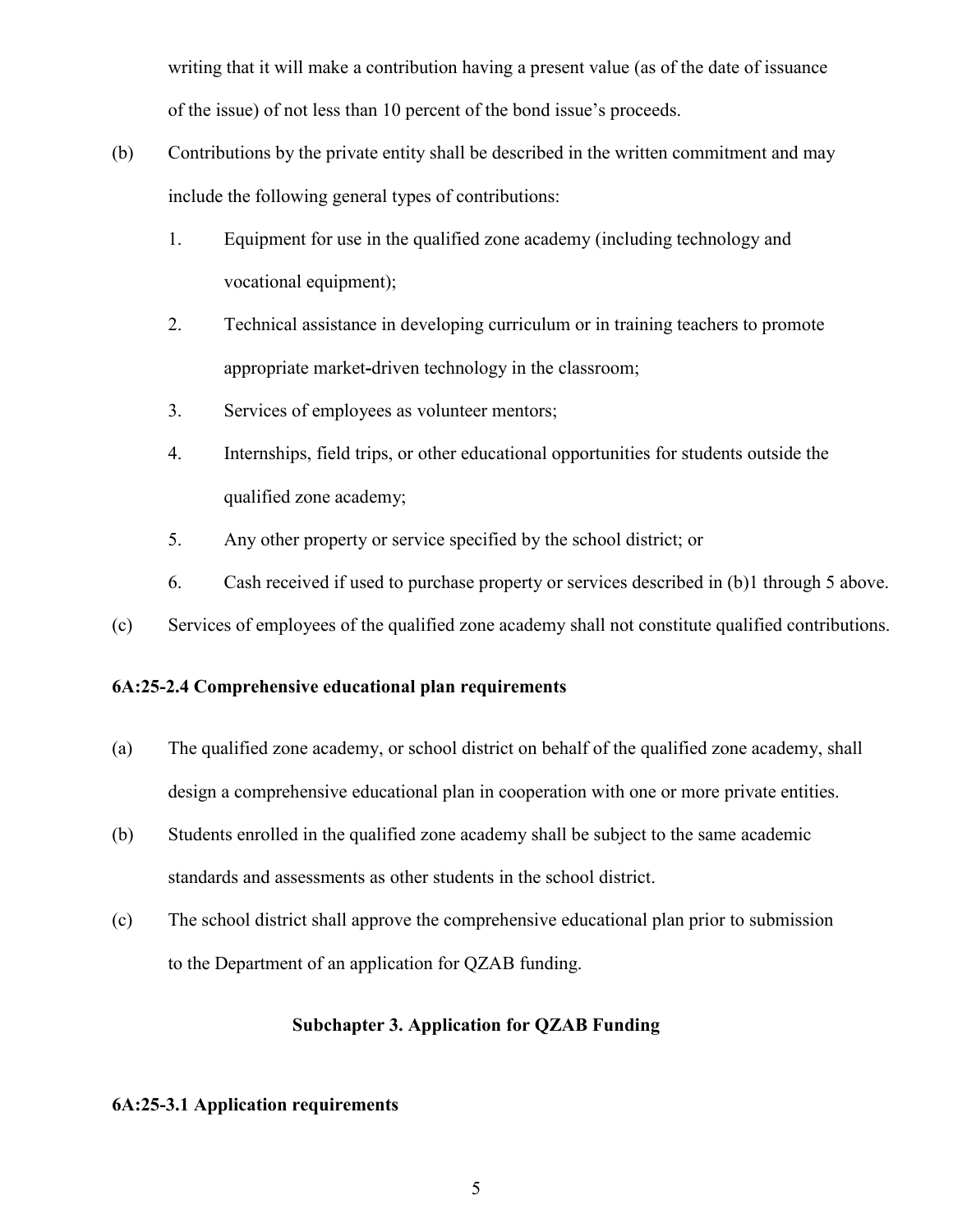writing that it will make a contribution having a present value (as of the date of issuance of the issue) of not less than 10 percent of the bond issue's proceeds.

- (b) Contributions by the private entity shall be described in the written commitment and may include the following general types of contributions:
	- 1. Equipment for use in the qualified zone academy (including technology and vocational equipment);
	- 2. Technical assistance in developing curriculum or in training teachers to promote appropriate market**-**driven technology in the classroom;
	- 3. Services of employees as volunteer mentors;
	- 4. Internships, field trips, or other educational opportunities for students outside the qualified zone academy;
	- 5. Any other property or service specified by the school district; or
	- 6. Cash received if used to purchase property or services described in (b)1 through 5 above.
- (c) Services of employees of the qualified zone academy shall not constitute qualified contributions.

# <span id="page-5-0"></span>**6A:25-2.4 Comprehensive educational plan requirements**

- (a) The qualified zone academy, or school district on behalf of the qualified zone academy, shall design a comprehensive educational plan in cooperation with one or more private entities.
- (b) Students enrolled in the qualified zone academy shall be subject to the same academic standards and assessments as other students in the school district.
- <span id="page-5-1"></span>(c) The school district shall approve the comprehensive educational plan prior to submission to the Department of an application for QZAB funding.

## **Subchapter 3. Application for QZAB Funding**

# <span id="page-5-2"></span>**6A:25-3.1 Application requirements**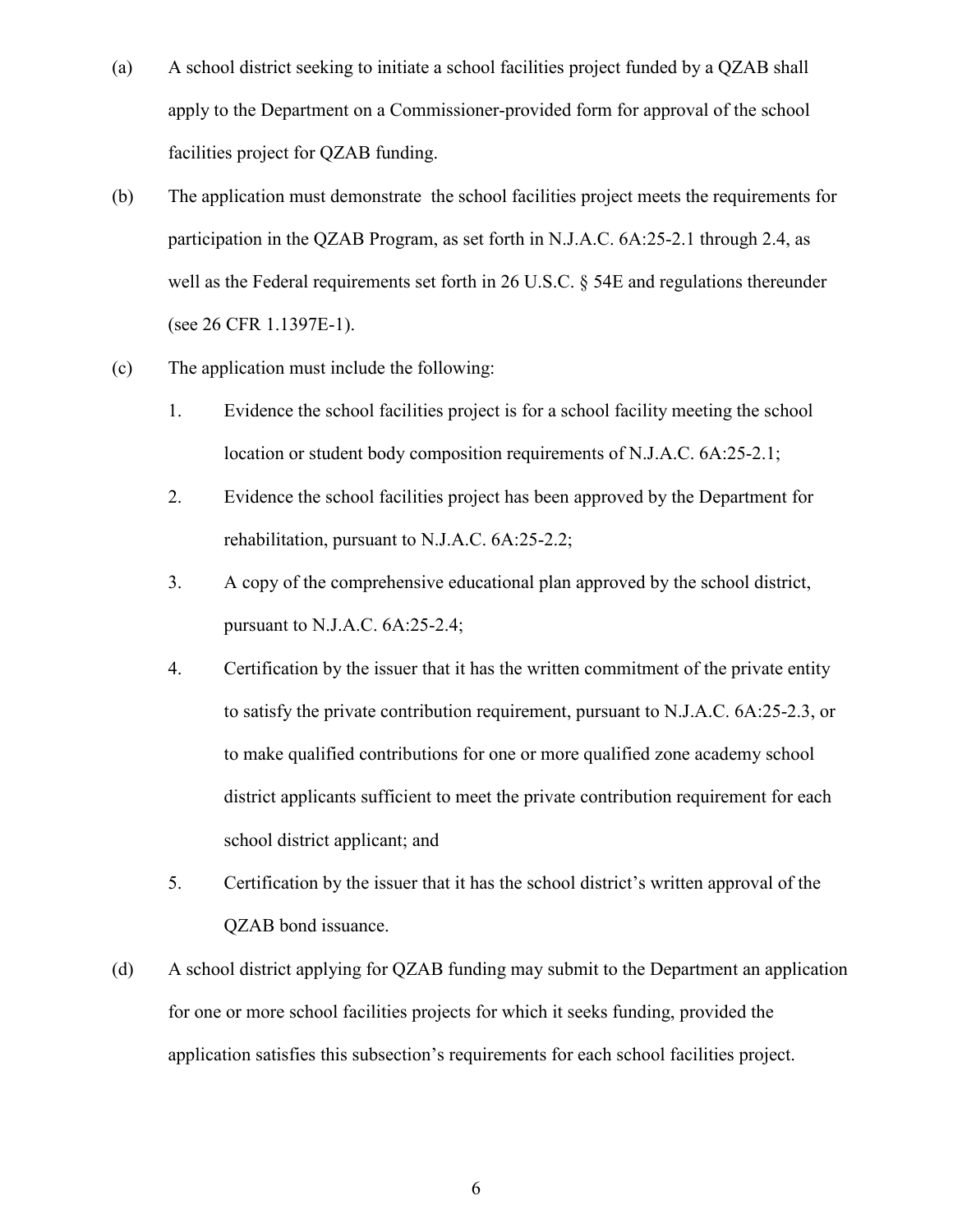- (a) A school district seeking to initiate a school facilities project funded by a QZAB shall apply to the Department on a Commissioner-provided form for approval of the school facilities project for QZAB funding.
- (b) The application must demonstrate the school facilities project meets the requirements for participation in the QZAB Program, as set forth in N.J.A.C. 6A:25-2.1 through 2.4, as well as the Federal requirements set forth in 26 U.S.C. § 54E and regulations thereunder (see 26 CFR 1.1397E-1).
- (c) The application must include the following:
	- 1. Evidence the school facilities project is for a school facility meeting the school location or student body composition requirements of N.J.A.C. 6A:25-2.1;
	- 2. Evidence the school facilities project has been approved by the Department for rehabilitation, pursuant to N.J.A.C. 6A:25-2.2;
	- 3. A copy of the comprehensive educational plan approved by the school district, pursuant to N.J.A.C. 6A:25-2.4;
	- 4. Certification by the issuer that it has the written commitment of the private entity to satisfy the private contribution requirement, pursuant to N.J.A.C. 6A:25-2.3, or to make qualified contributions for one or more qualified zone academy school district applicants sufficient to meet the private contribution requirement for each school district applicant; and
	- 5. Certification by the issuer that it has the school district's written approval of the QZAB bond issuance.
- (d) A school district applying for QZAB funding may submit to the Department an application for one or more school facilities projects for which it seeks funding, provided the application satisfies this subsection's requirements for each school facilities project.

6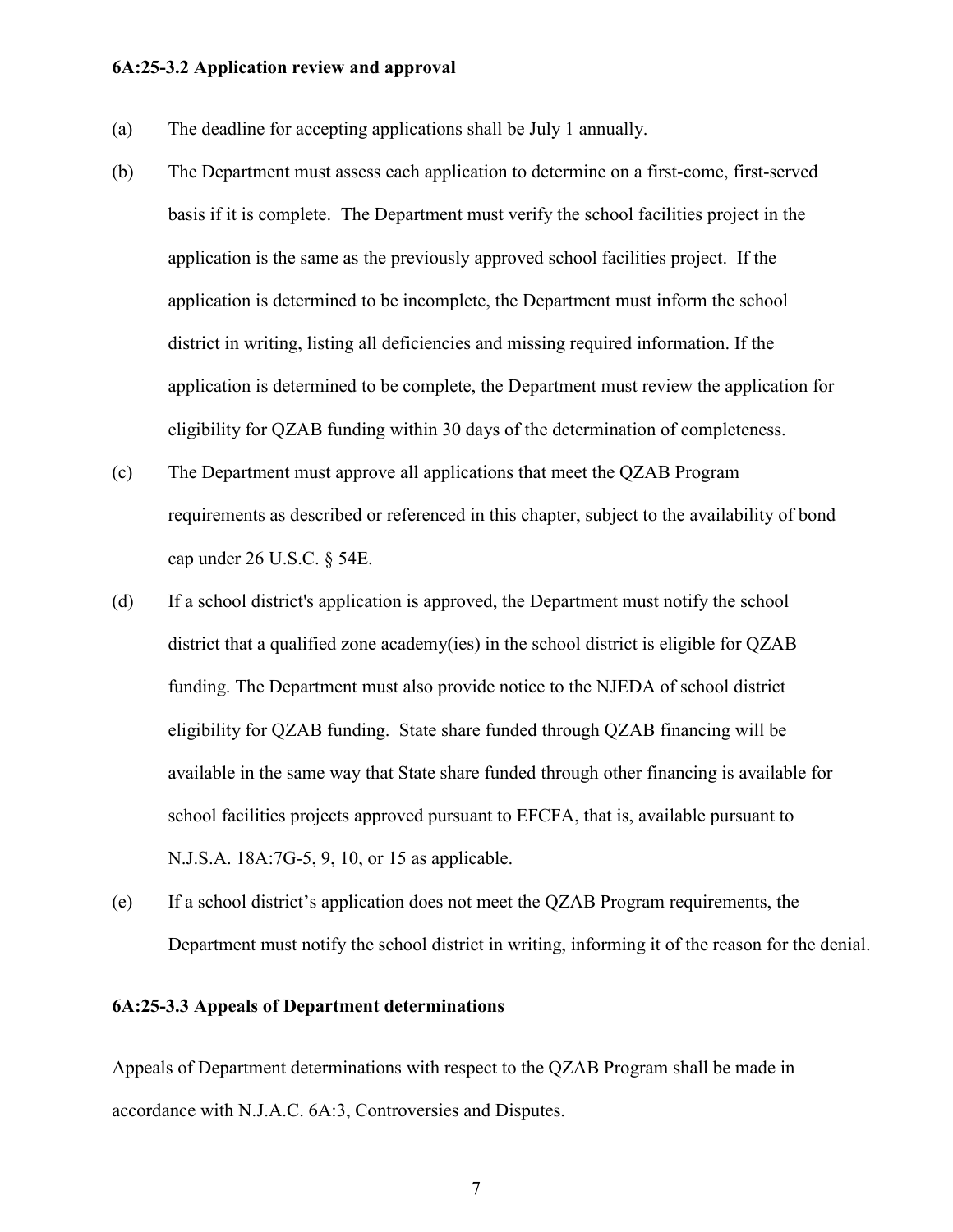#### <span id="page-7-0"></span>**6A:25-3.2 Application review and approval**

- (a) The deadline for accepting applications shall be July 1 annually.
- (b) The Department must assess each application to determine on a first-come, first-served basis if it is complete. The Department must verify the school facilities project in the application is the same as the previously approved school facilities project. If the application is determined to be incomplete, the Department must inform the school district in writing, listing all deficiencies and missing required information. If the application is determined to be complete, the Department must review the application for eligibility for QZAB funding within 30 days of the determination of completeness.
- (c) The Department must approve all applications that meet the QZAB Program requirements as described or referenced in this chapter, subject to the availability of bond cap under 26 U.S.C. § 54E.
- (d) If a school district's application is approved, the Department must notify the school district that a qualified zone academy(ies) in the school district is eligible for QZAB funding. The Department must also provide notice to the NJEDA of school district eligibility for QZAB funding. State share funded through QZAB financing will be available in the same way that State share funded through other financing is available for school facilities projects approved pursuant to EFCFA, that is, available pursuant to N.J.S.A. 18A:7G-5, 9, 10, or 15 as applicable.
- (e) If a school district's application does not meet the QZAB Program requirements, the Department must notify the school district in writing, informing it of the reason for the denial.

#### <span id="page-7-1"></span>**6A:25-3.3 Appeals of Department determinations**

Appeals of Department determinations with respect to the QZAB Program shall be made in accordance with N.J.A.C. 6A:3, Controversies and Disputes.

7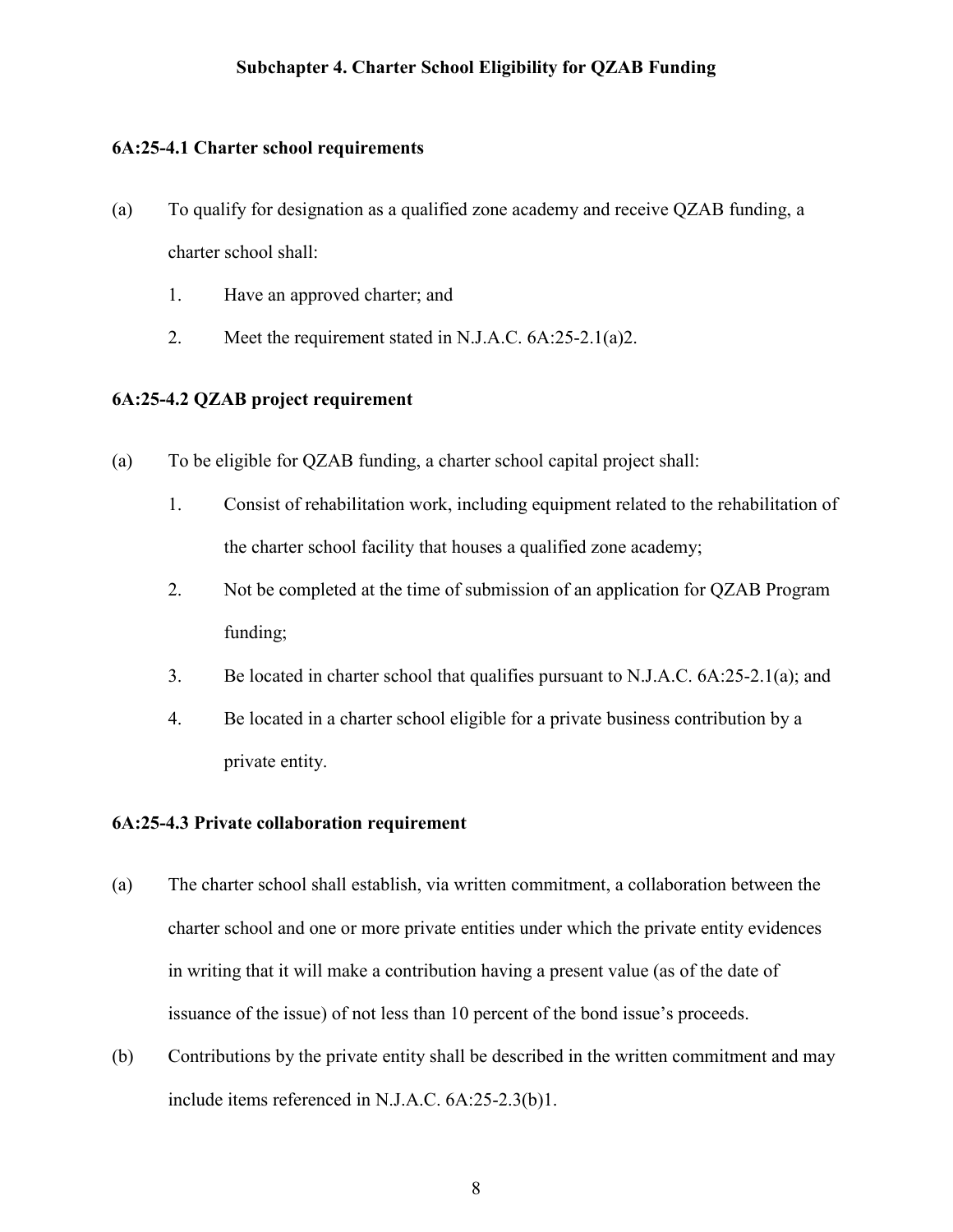# **Subchapter 4. Charter School Eligibility for QZAB Funding**

### <span id="page-8-1"></span><span id="page-8-0"></span>**6A:25-4.1 Charter school requirements**

- (a) To qualify for designation as a qualified zone academy and receive QZAB funding, a charter school shall:
	- 1. Have an approved charter; and
	- 2. Meet the requirement stated in N.J.A.C. 6A:25-2.1(a)2.

## <span id="page-8-2"></span>**6A:25-4.2 QZAB project requirement**

- (a) To be eligible for QZAB funding, a charter school capital project shall:
	- 1. Consist of rehabilitation work, including equipment related to the rehabilitation of the charter school facility that houses a qualified zone academy;
	- 2. Not be completed at the time of submission of an application for QZAB Program funding;
	- 3. Be located in charter school that qualifies pursuant to N.J.A.C. 6A:25-2.1(a); and
	- 4. Be located in a charter school eligible for a private business contribution by a private entity.

# <span id="page-8-3"></span>**6A:25-4.3 Private collaboration requirement**

- (a) The charter school shall establish, via written commitment, a collaboration between the charter school and one or more private entities under which the private entity evidences in writing that it will make a contribution having a present value (as of the date of issuance of the issue) of not less than 10 percent of the bond issue's proceeds.
- (b) Contributions by the private entity shall be described in the written commitment and may include items referenced in N.J.A.C. 6A:25-2.3(b)1.

8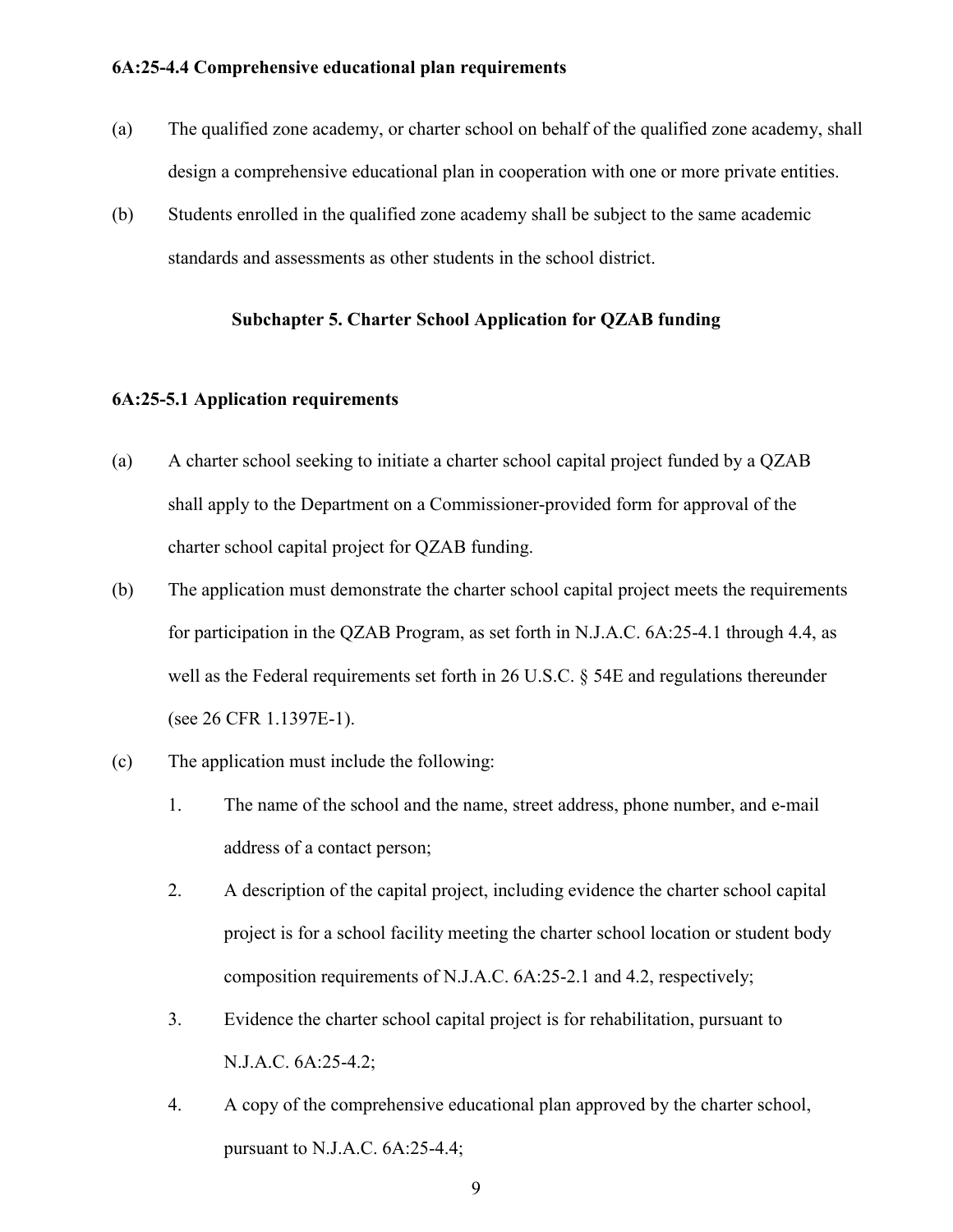#### <span id="page-9-0"></span>**6A:25-4.4 Comprehensive educational plan requirements**

- (a) The qualified zone academy, or charter school on behalf of the qualified zone academy, shall design a comprehensive educational plan in cooperation with one or more private entities.
- <span id="page-9-1"></span>(b) Students enrolled in the qualified zone academy shall be subject to the same academic standards and assessments as other students in the school district.

### **Subchapter 5. Charter School Application for QZAB funding**

#### <span id="page-9-2"></span>**6A:25-5.1 Application requirements**

- (a) A charter school seeking to initiate a charter school capital project funded by a QZAB shall apply to the Department on a Commissioner-provided form for approval of the charter school capital project for QZAB funding.
- (b) The application must demonstrate the charter school capital project meets the requirements for participation in the QZAB Program, as set forth in N.J.A.C. 6A:25-4.1 through 4.4, as well as the Federal requirements set forth in 26 U.S.C. § 54E and regulations thereunder (see 26 CFR 1.1397E-1).
- (c) The application must include the following:
	- 1. The name of the school and the name, street address, phone number, and e-mail address of a contact person;
	- 2. A description of the capital project, including evidence the charter school capital project is for a school facility meeting the charter school location or student body composition requirements of N.J.A.C. 6A:25-2.1 and 4.2, respectively;
	- 3. Evidence the charter school capital project is for rehabilitation, pursuant to N.J.A.C. 6A:25-4.2;
	- 4. A copy of the comprehensive educational plan approved by the charter school, pursuant to N.J.A.C. 6A:25-4.4;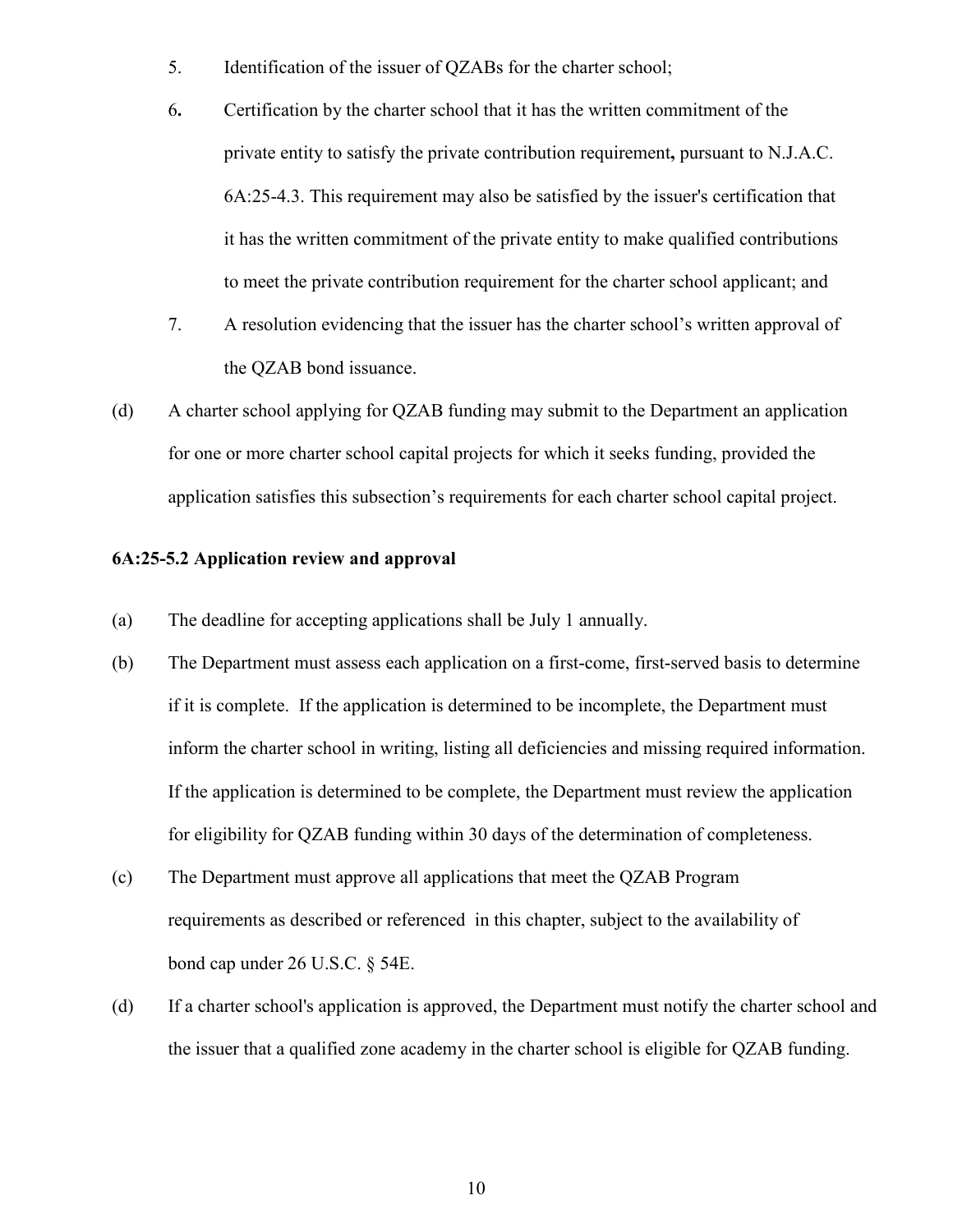- 5. Identification of the issuer of QZABs for the charter school;
- 6**.** Certification by the charter school that it has the written commitment of the private entity to satisfy the private contribution requirement**,** pursuant to N.J.A.C. 6A:25-4.3. This requirement may also be satisfied by the issuer's certification that it has the written commitment of the private entity to make qualified contributions to meet the private contribution requirement for the charter school applicant; and
- 7. A resolution evidencing that the issuer has the charter school's written approval of the QZAB bond issuance.
- (d) A charter school applying for QZAB funding may submit to the Department an application for one or more charter school capital projects for which it seeks funding, provided the application satisfies this subsection's requirements for each charter school capital project.

# <span id="page-10-0"></span>**6A:25-5.2 Application review and approval**

- (a) The deadline for accepting applications shall be July 1 annually.
- (b) The Department must assess each application on a first-come, first-served basis to determine if it is complete. If the application is determined to be incomplete, the Department must inform the charter school in writing, listing all deficiencies and missing required information. If the application is determined to be complete, the Department must review the application for eligibility for QZAB funding within 30 days of the determination of completeness.
- (c) The Department must approve all applications that meet the QZAB Program requirements as described or referenced in this chapter, subject to the availability of bond cap under 26 U.S.C. § 54E.
- (d) If a charter school's application is approved, the Department must notify the charter school and the issuer that a qualified zone academy in the charter school is eligible for QZAB funding.